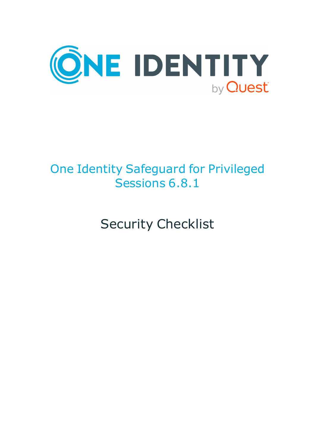

# One Identity Safeguard for Privileged Sessions 6.8.1

Security Checklist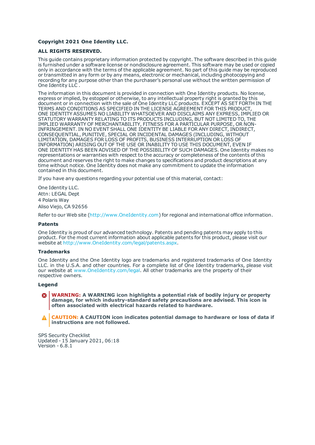### **Copyright 2021 One Identity LLC.**

### **ALL RIGHTS RESERVED.**

This guide contains proprietary information protected by copyright. The software described in this guide is furnished under a software license or nondisclosure agreement. This software may be used or copied only in accordance with the terms of the applicable agreement. No part of this guide may be reproduced or transmitted in any form or by any means, electronic or mechanical, including photocopying and recording for any purpose other than the purchaser's personal use without the written permission of One Identity LLC .

The information in this document is provided in connection with One Identity products. No license, express or implied, by estoppel or otherwise, to any intellectual property right is granted by this document or in connection with the sale of One Identity LLC products. EXCEPT AS SET FORTH IN THE TERMS AND CONDITIONS AS SPECIFIED IN THE LICENSE AGREEMENT FOR THIS PRODUCT, ONE IDENTITY ASSUMES NO LIABILITY WHATSOEVER AND DISCLAIMS ANY EXPRESS, IMPLIED OR STATUTORY WARRANTY RELATING TO ITS PRODUCTS INCLUDING, BUT NOT LIMITED TO, THE IMPLIED WARRANTY OF MERCHANTABILITY, FITNESS FOR A PARTICULAR PURPOSE, OR NON-INFRINGEMENT. IN NO EVENT SHALL ONE IDENTITY BE LIABLE FOR ANY DIRECT, INDIRECT, CONSEQUENTIAL, PUNITIVE, SPECIAL OR INCIDENTAL DAMAGES (INCLUDING, WITHOUT LIMITATION, DAMAGES FOR LOSS OF PROFITS, BUSINESS INTERRUPTION OR LOSS OF INFORMATION) ARISING OUT OF THE USE OR INABILITY TO USE THIS DOCUMENT, EVEN IF ONE IDENTITY HAS BEEN ADVISED OF THE POSSIBILITY OF SUCH DAMAGES. One Identity makes no representations or warranties with respect to the accuracy or completeness of the contents of this document and reserves the right to make changes to specifications and product descriptions at any time without notice. One Identity does not make any commitment to update the information contained in this document.

If you have any questions regarding your potential use of this material, contact:

One Identity LLC. Attn: LEGAL Dept 4 Polaris Way Aliso Viejo, CA 92656

Refer to our Web site ([http://www.OneIdentity.com](http://www.oneidentity.com/)) for regional and international office information.

### **Patents**

One Identity is proud of our advanced technology. Patents and pending patents may apply to this product. For the most current information about applicable patents for this product, please visit our website at [http://www.OneIdentity.com/legal/patents.aspx](http://www.oneidentity.com/legal/patents.aspx).

#### **Trademarks**

One Identity and the One Identity logo are trademarks and registered trademarks of One Identity LLC. in the U.S.A. and other countries. For a complete list of One Identity trademarks, please visit our website at [www.OneIdentity.com/legal](http://www.oneidentity.com/legal). All other trademarks are the property of their respective owners.

#### **Legend**

**WARNING: A WARNING icon highlights a potential risk of bodily injury or property damage, for which industry-standard safety precautions are advised. This icon is often associated with electrical hazards related to hardware.**

**CAUTION: A CAUTION icon indicates potential damage to hardware or loss of data if** A **instructions are not followed.**

SPS Security Checklist Updated - 15 January 2021, 06:18 Version - 6.8.1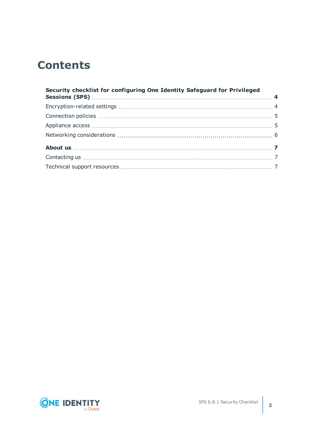## **Contents**

| Security checklist for configuring One Identity Safeguard for Privileged |  |
|--------------------------------------------------------------------------|--|
|                                                                          |  |
|                                                                          |  |
|                                                                          |  |
|                                                                          |  |
|                                                                          |  |
|                                                                          |  |
|                                                                          |  |
|                                                                          |  |

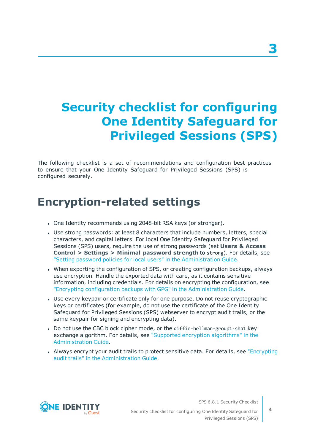# <span id="page-3-0"></span>**Security checklist for configuring One Identity Safeguard for Privileged Sessions (SPS)**

The following checklist is a set of recommendations and configuration best practices to ensure that your One Identity Safeguard for Privileged Sessions (SPS) is configured securely.

### <span id="page-3-1"></span>**Encryption-related settings**

- One Identity recommends using 2048-bit RSA keys (or stronger).
- Use strong passwords: at least 8 characters that include numbers, letters, special characters, and capital letters. For local One Identity Safeguard for Privileged Sessions (SPS) users, require the use of strong passwords (set **Users & Access Control > Settings > Minimal password strength** to strong). For details, see "Setting password policies for local users" in the [Administration](https://support.oneidentity.com/technical-documents/safeguard-for-privileged-sessions/6.8.1/administration-guide/user-management-and-access-control/setting-password-policies-for-local-users/) Guide.
- When exporting the configuration of SPS, or creating configuration backups, always use encryption. Handle the exported data with care, as it contains sensitive information, including credentials. For details on encrypting the configuration, see "Encrypting configuration backups with GPG" in the [Administration](https://support.oneidentity.com/technical-documents/safeguard-for-privileged-sessions/6.8.1/administration-guide/basic-settings/data-and-configuration-backups/encrypting-configuration-backups-with-gpg/) Guide.
- Use every keypair or certificate only for one purpose. Do not reuse cryptographic keys or certificates (for example, do not use the certificate of the One Identity Safeguard for Privileged Sessions (SPS) webserver to encrypt audit trails, or the same keypair for signing and encrypting data).
- Do not use the CBC block cipher mode, or the diffie-hellman-group1-sha1 key exchange algorithm. For details, see "Supported encryption [algorithms"](https://support.oneidentity.com/technical-documents/safeguard-for-privileged-sessions/6.8.1/administration-guide/ssh-specific-settings/supported-encryption-algorithms/) in the [Administration](https://support.oneidentity.com/technical-documents/safeguard-for-privileged-sessions/6.8.1/administration-guide/ssh-specific-settings/supported-encryption-algorithms/) Guide.
- Always encrypt your audit trails to protect sensitive data. For details, see ["Encrypting](https://support.oneidentity.com/technical-documents/safeguard-for-privileged-sessions/6.8.1/administration-guide/general-connection-settings/audit-policies/encrypting-audit-trails/)" audit trails" in the [Administration](https://support.oneidentity.com/technical-documents/safeguard-for-privileged-sessions/6.8.1/administration-guide/general-connection-settings/audit-policies/encrypting-audit-trails/) Guide.



SPS 6.8.1 Security Checklist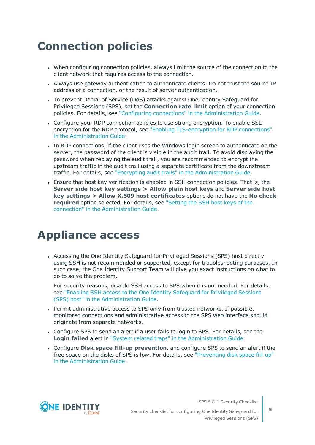# <span id="page-4-0"></span>**Connection policies**

- When configuring connection policies, always limit the source of the connection to the client network that requires access to the connection.
- Always use gateway authentication to authenticate clients. Do not trust the source IP address of a connection, or the result of server authentication.
- To prevent Denial of Service (DoS) attacks against One Identity Safeguard for Privileged Sessions (SPS), set the **Connection rate limit** option of your connection policies. For details, see "Configuring connections" in the [Administration](https://support.oneidentity.com/technical-documents/safeguard-for-privileged-sessions/6.8.1/administration-guide/general-connection-settings/configuring-connections/) Guide.
- Configure your RDP connection policies to use strong encryption. To enable SSLencryption for the RDP protocol, see "Enabling [TLS-encryption](https://support.oneidentity.com/technical-documents/safeguard-for-privileged-sessions/6.8.1/administration-guide/rdp-specific-settings/enabling-tls-encryption-for-rdp-connections/) for RDP connections" in the [Administration](https://support.oneidentity.com/technical-documents/safeguard-for-privileged-sessions/6.8.1/administration-guide/rdp-specific-settings/enabling-tls-encryption-for-rdp-connections/) Guide.
- In RDP connections, if the client uses the Windows login screen to authenticate on the server, the password of the client is visible in the audit trail. To avoid displaying the password when replaying the audit trail, you are recommended to encrypt the upstream traffic in the audit trail using a separate certificate from the downstream traffic. For details, see "Encrypting audit trails" in the [Administration](https://support.oneidentity.com/technical-documents/safeguard-for-privileged-sessions/6.8.1/administration-guide/general-connection-settings/audit-policies/encrypting-audit-trails/) Guide.
- Ensure that host key verification is enabled in SSH connection policies. That is, the **Server side host key settings > Allow plain host keys** and **Server side host key settings > Allow X.509 host certificates** options do not have the **No check required** option selected. For details, see ["Setting](https://support.oneidentity.com/technical-documents/safeguard-for-privileged-sessions/6.8.1/administration-guide/ssh-specific-settings/setting-the-ssh-host-keys--of-the-connection/) the SSH host keys of the connection" in the [Administration](https://support.oneidentity.com/technical-documents/safeguard-for-privileged-sessions/6.8.1/administration-guide/ssh-specific-settings/setting-the-ssh-host-keys--of-the-connection/) Guide.

### <span id="page-4-1"></span>**Appliance access**

• Accessing the One Identity Safeguard for Privileged Sessions (SPS) host directly using SSH is not recommended or supported, except for troubleshooting purposes. In such case, the One Identity Support Team will give you exact instructions on what to do to solve the problem.

For security reasons, disable SSH access to SPS when it is not needed. For details, see "Enabling SSH access to the One Identity [Safeguard](https://support.oneidentity.com/technical-documents/safeguard-for-privileged-sessions/6.8.1/administration-guide/managing-one-identity-safeguard-for-privileged-sessions-sps/accessing-the-one-identity-safeguard-for-privileged-sessions-sps-console/enabling-ssh-access-to-the-one-identity-safeguard-for-privileged-sessions-sps-host/) for Privileged Sessions (SPS) host" in the [Administration](https://support.oneidentity.com/technical-documents/safeguard-for-privileged-sessions/6.8.1/administration-guide/managing-one-identity-safeguard-for-privileged-sessions-sps/accessing-the-one-identity-safeguard-for-privileged-sessions-sps-console/enabling-ssh-access-to-the-one-identity-safeguard-for-privileged-sessions-sps-host/) Guide.

- Permit administrative access to SPS only from trusted networks. If possible, monitored connections and administrative access to the SPS web interface should originate from separate networks.
- Configure SPS to send an alert if a user fails to login to SPS. For details, see the **Login failed** alert in "System related traps" in the [Administration](https://support.oneidentity.com/technical-documents/safeguard-for-privileged-sessions/6.8.1/administration-guide/basic-settings/configuring-system-monitoring-on-sps/system-related-traps/) Guide.
- <sup>l</sup> Configure **Disk space fill-up prevention**, and configure SPS to send an alert if the free space on the disks of SPS is low. For details, see ["Preventing](https://support.oneidentity.com/technical-documents/safeguard-for-privileged-sessions/6.8.1/administration-guide/basic-settings/configuring-system-monitoring-on-sps/preventing-disk-space-fill-up/) disk space fill-up" in the [Administration](https://support.oneidentity.com/technical-documents/safeguard-for-privileged-sessions/6.8.1/administration-guide/basic-settings/configuring-system-monitoring-on-sps/preventing-disk-space-fill-up/) Guide.



SPS 6.8.1 Security Checklist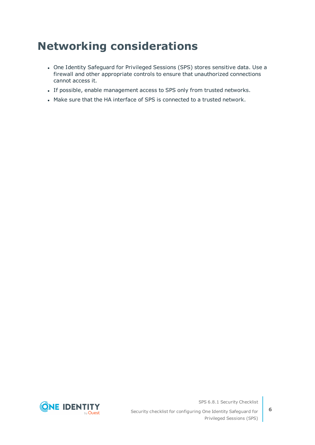# <span id="page-5-0"></span>**Networking considerations**

- One Identity Safeguard for Privileged Sessions (SPS) stores sensitive data. Use a firewall and other appropriate controls to ensure that unauthorized connections cannot access it.
- If possible, enable management access to SPS only from trusted networks.
- Make sure that the HA interface of SPS is connected to a trusted network.



SPS 6.8.1 Security Checklist